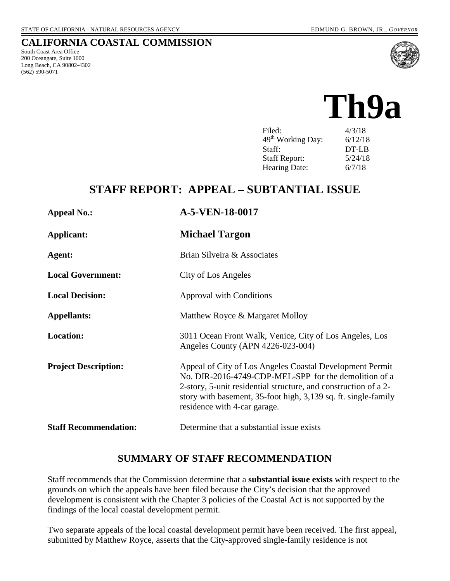### **CALIFORNIA COASTAL COMMISSION**

South Coast Area Office 200 Oceangate, Suite 1000 Long Beach, CA 90802-4302 (562) 590-5071



# **Th9a**

| Filed:                        | 4/3/18  |
|-------------------------------|---------|
| 49 <sup>th</sup> Working Day: | 6/12/18 |
| Staff:                        | DT-LB   |
| <b>Staff Report:</b>          | 5/24/18 |
| Hearing Date:                 | 6/7/18  |

# **STAFF REPORT: APPEAL – SUBTANTIAL ISSUE**

| <b>Appeal No.:</b>           | A-5-VEN-18-0017                                                                                                                                                                                                                                                                        |
|------------------------------|----------------------------------------------------------------------------------------------------------------------------------------------------------------------------------------------------------------------------------------------------------------------------------------|
| <b>Applicant:</b>            | <b>Michael Targon</b>                                                                                                                                                                                                                                                                  |
| Agent:                       | Brian Silveira & Associates                                                                                                                                                                                                                                                            |
| <b>Local Government:</b>     | City of Los Angeles                                                                                                                                                                                                                                                                    |
| <b>Local Decision:</b>       | <b>Approval with Conditions</b>                                                                                                                                                                                                                                                        |
| <b>Appellants:</b>           | Matthew Royce & Margaret Molloy                                                                                                                                                                                                                                                        |
| <b>Location:</b>             | 3011 Ocean Front Walk, Venice, City of Los Angeles, Los<br>Angeles County (APN 4226-023-004)                                                                                                                                                                                           |
| <b>Project Description:</b>  | Appeal of City of Los Angeles Coastal Development Permit<br>No. DIR-2016-4749-CDP-MEL-SPP for the demolition of a<br>2-story, 5-unit residential structure, and construction of a 2-<br>story with basement, 35-foot high, 3,139 sq. ft. single-family<br>residence with 4-car garage. |
| <b>Staff Recommendation:</b> | Determine that a substantial issue exists                                                                                                                                                                                                                                              |

### **SUMMARY OF STAFF RECOMMENDATION**

Staff recommends that the Commission determine that a **substantial issue exists** with respect to the grounds on which the appeals have been filed because the City's decision that the approved development is consistent with the Chapter 3 policies of the Coastal Act is not supported by the findings of the local coastal development permit.

Two separate appeals of the local coastal development permit have been received. The first appeal, submitted by Matthew Royce, asserts that the City-approved single-family residence is not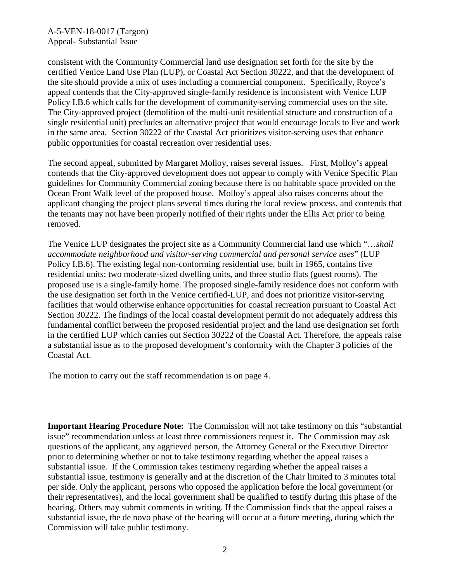consistent with the Community Commercial land use designation set forth for the site by the certified Venice Land Use Plan (LUP), or Coastal Act Section 30222, and that the development of the site should provide a mix of uses including a commercial component. Specifically, Royce's appeal contends that the City-approved single-family residence is inconsistent with Venice LUP Policy I.B.6 which calls for the development of community-serving commercial uses on the site. The City-approved project (demolition of the multi-unit residential structure and construction of a single residential unit) precludes an alternative project that would encourage locals to live and work in the same area. Section 30222 of the Coastal Act prioritizes visitor-serving uses that enhance public opportunities for coastal recreation over residential uses.

The second appeal, submitted by Margaret Molloy, raises several issues. First, Molloy's appeal contends that the City-approved development does not appear to comply with Venice Specific Plan guidelines for Community Commercial zoning because there is no habitable space provided on the Ocean Front Walk level of the proposed house. Molloy's appeal also raises concerns about the applicant changing the project plans several times during the local review process, and contends that the tenants may not have been properly notified of their rights under the Ellis Act prior to being removed.

The Venice LUP designates the project site as a Community Commercial land use which "…*shall accommodate neighborhood and visitor-serving commercial and personal service uses*" (LUP Policy I.B.6). The existing legal non-conforming residential use, built in 1965, contains five residential units: two moderate-sized dwelling units, and three studio flats (guest rooms). The proposed use is a single-family home. The proposed single-family residence does not conform with the use designation set forth in the Venice certified-LUP, and does not prioritize visitor-serving facilities that would otherwise enhance opportunities for coastal recreation pursuant to Coastal Act Section 30222. The findings of the local coastal development permit do not adequately address this fundamental conflict between the proposed residential project and the land use designation set forth in the certified LUP which carries out Section 30222 of the Coastal Act. Therefore, the appeals raise a substantial issue as to the proposed development's conformity with the Chapter 3 policies of the Coastal Act.

The motion to carry out the staff recommendation is on page 4.

**Important Hearing Procedure Note:** The Commission will not take testimony on this "substantial issue" recommendation unless at least three commissioners request it. The Commission may ask questions of the applicant, any aggrieved person, the Attorney General or the Executive Director prior to determining whether or not to take testimony regarding whether the appeal raises a substantial issue. If the Commission takes testimony regarding whether the appeal raises a substantial issue, testimony is generally and at the discretion of the Chair limited to 3 minutes total per side. Only the applicant, persons who opposed the application before the local government (or their representatives), and the local government shall be qualified to testify during this phase of the hearing. Others may submit comments in writing. If the Commission finds that the appeal raises a substantial issue, the de novo phase of the hearing will occur at a future meeting, during which the Commission will take public testimony.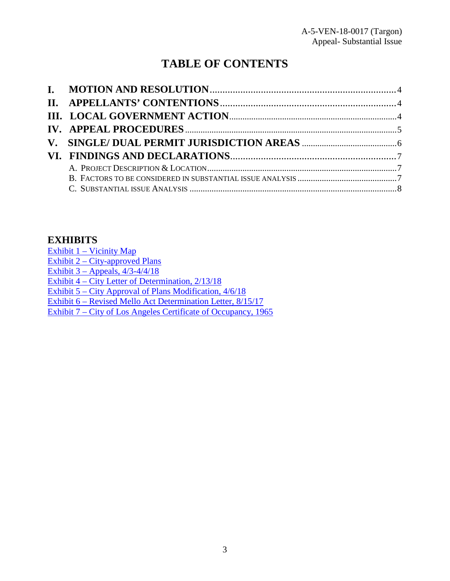# **TABLE OF CONTENTS**

# **EXHIBITS**

[Exhibit 1 – Vicinity Map](https://documents.coastal.ca.gov/reports/2018/6/Th9a/Th9a-6-2018-exhibits.pdf) Exhibit 2 – City-approved Plans Exhibit  $3 -$  Appeals,  $4/3 - 4/4/18$ [Exhibit 4 – City Letter of Determination, 2/13/18](https://documents.coastal.ca.gov/reports/2018/6/Th9a/Th9a-6-2018-exhibits.pdf) [Exhibit 5 – City Approval of Plans Modification, 4/6/18](https://documents.coastal.ca.gov/reports/2018/6/Th9a/Th9a-6-2018-exhibits.pdf)  [Exhibit 6 – Revised Mello Act Determination Letter, 8/15/17](https://documents.coastal.ca.gov/reports/2018/6/Th9a/Th9a-6-2018-exhibits.pdf)  [Exhibit 7 – City of Los Angeles Certificate of Occupancy, 1965](https://documents.coastal.ca.gov/reports/2018/6/Th9a/Th9a-6-2018-exhibits.pdf)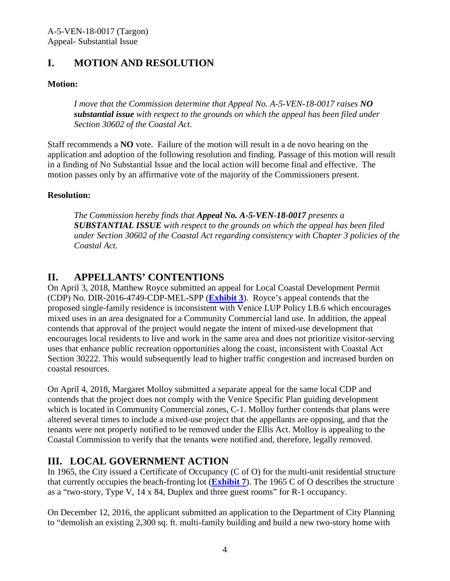# <span id="page-3-0"></span>**I. MOTION AND RESOLUTION**

### **Motion:**

*I move that the Commission determine that Appeal No. A-5-VEN-18-0017 raises NO substantial issue with respect to the grounds on which the appeal has been filed under Section 30602 of the Coastal Act.* 

Staff recommends a **NO** vote. Failure of the motion will result in a de novo hearing on the application and adoption of the following resolution and finding. Passage of this motion will result in a finding of No Substantial Issue and the local action will become final and effective. The motion passes only by an affirmative vote of the majority of the Commissioners present.

### **Resolution:**

*The Commission hereby finds that Appeal No. A-5-VEN-18-0017 presents a SUBSTANTIAL ISSUE with respect to the grounds on which the appeal has been filed under Section 30602 of the Coastal Act regarding consistency with Chapter 3 policies of the Coastal Act.* 

# <span id="page-3-1"></span>**II. APPELLANTS' CONTENTIONS**

On April 3, 2018, Matthew Royce submitted an appeal for Local Coastal Development Permit (CDP) No. DIR-2016-4749-CDP-MEL-SPP (**[Exhibit 3](https://documents.coastal.ca.gov/reports/2018/6/Th9a/Th9a-6-2018-exhibits.pdf)**). Royce's appeal contends that the proposed single-family residence is inconsistent with Venice LUP Policy I.B.6 which encourages mixed uses in an area designated for a Community Commercial land use. In addition, the appeal contends that approval of the project would negate the intent of mixed-use development that encourages local residents to live and work in the same area and does not prioritize visitor-serving uses that enhance public recreation opportunities along the coast, inconsistent with Coastal Act Section 30222. This would subsequently lead to higher traffic congestion and increased burden on coastal resources.

On April 4, 2018, Margaret Molloy submitted a separate appeal for the same local CDP and contends that the project does not comply with the Venice Specific Plan guiding development which is located in Community Commercial zones, C-1. Molloy further contends that plans were altered several times to include a mixed-use project that the appellants are opposing, and that the tenants were not properly notified to be removed under the Ellis Act. Molloy is appealing to the Coastal Commission to verify that the tenants were notified and, therefore, legally removed.

# <span id="page-3-2"></span>**III. LOCAL GOVERNMENT ACTION**

In 1965, the City issued a Certificate of Occupancy (C of O) for the multi-unit residential structure that currently occupies the beach-fronting lot (**[Exhibit 7](https://documents.coastal.ca.gov/reports/2018/6/Th9a/Th9a-6-2018-exhibits.pdf)**). The 1965 C of O describes the structure as a "two-story, Type V, 14 x 84, Duplex and three guest rooms" for R-1 occupancy.

On December 12, 2016, the applicant submitted an application to the Department of City Planning to "demolish an existing 2,300 sq. ft. multi-family building and build a new two-story home with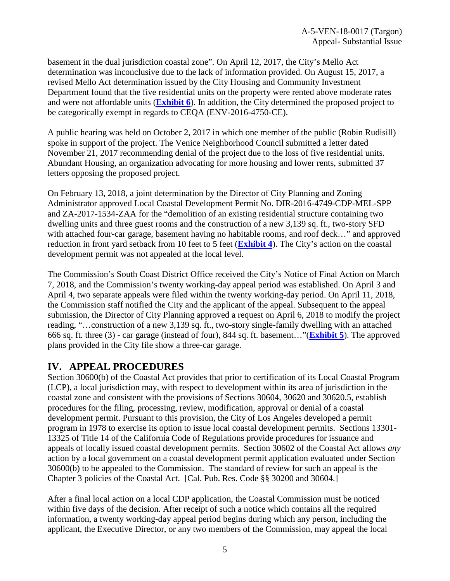basement in the dual jurisdiction coastal zone". On April 12, 2017, the City's Mello Act determination was inconclusive due to the lack of information provided. On August 15, 2017, a revised Mello Act determination issued by the City Housing and Community Investment Department found that the five residential units on the property were rented above moderate rates and were not affordable units (**[Exhibit 6](https://documents.coastal.ca.gov/reports/2018/6/Th9a/Th9a-6-2018-exhibits.pdf)**). In addition, the City determined the proposed project to be categorically exempt in regards to CEQA (ENV-2016-4750-CE).

A public hearing was held on October 2, 2017 in which one member of the public (Robin Rudisill) spoke in support of the project. The Venice Neighborhood Council submitted a letter dated November 21, 2017 recommending denial of the project due to the loss of five residential units. Abundant Housing, an organization advocating for more housing and lower rents, submitted 37 letters opposing the proposed project.

On February 13, 2018, a joint determination by the Director of City Planning and Zoning Administrator approved Local Coastal Development Permit No. DIR-2016-4749-CDP-MEL-SPP and ZA-2017-1534-ZAA for the "demolition of an existing residential structure containing two dwelling units and three guest rooms and the construction of a new 3,139 sq. ft., two-story SFD with attached four-car garage, basement having no habitable rooms, and roof deck..." and approved reduction in front yard setback from 10 feet to 5 feet (**[Exhibit 4](https://documents.coastal.ca.gov/reports/2018/6/Th9a/Th9a-6-2018-exhibits.pdf)**). The City's action on the coastal development permit was not appealed at the local level.

The Commission's South Coast District Office received the City's Notice of Final Action on March 7, 2018, and the Commission's twenty working-day appeal period was established. On April 3 and April 4, two separate appeals were filed within the twenty working-day period. On April 11, 2018, the Commission staff notified the City and the applicant of the appeal. Subsequent to the appeal submission, the Director of City Planning approved a request on April 6, 2018 to modify the project reading, "…construction of a new 3,139 sq. ft., two-story single-family dwelling with an attached 666 sq. ft. three (3) - car garage (instead of four), 844 sq. ft. basement…"(**[Exhibit 5](https://documents.coastal.ca.gov/reports/2018/6/Th9a/Th9a-6-2018-exhibits.pdf)**). The approved plans provided in the City file show a three-car garage.

# <span id="page-4-0"></span>**IV. APPEAL PROCEDURES**

Section 30600(b) of the Coastal Act provides that prior to certification of its Local Coastal Program (LCP), a local jurisdiction may, with respect to development within its area of jurisdiction in the coastal zone and consistent with the provisions of Sections 30604, 30620 and 30620.5, establish procedures for the filing, processing, review, modification, approval or denial of a coastal development permit. Pursuant to this provision, the City of Los Angeles developed a permit program in 1978 to exercise its option to issue local coastal development permits. Sections 13301- 13325 of Title 14 of the California Code of Regulations provide procedures for issuance and appeals of locally issued coastal development permits. Section 30602 of the Coastal Act allows *any*  action by a local government on a coastal development permit application evaluated under Section 30600(b) to be appealed to the Commission. The standard of review for such an appeal is the Chapter 3 policies of the Coastal Act. [Cal. Pub. Res. Code §§ 30200 and 30604.]

After a final local action on a local CDP application, the Coastal Commission must be noticed within five days of the decision. After receipt of such a notice which contains all the required information, a twenty working-day appeal period begins during which any person, including the applicant, the Executive Director, or any two members of the Commission, may appeal the local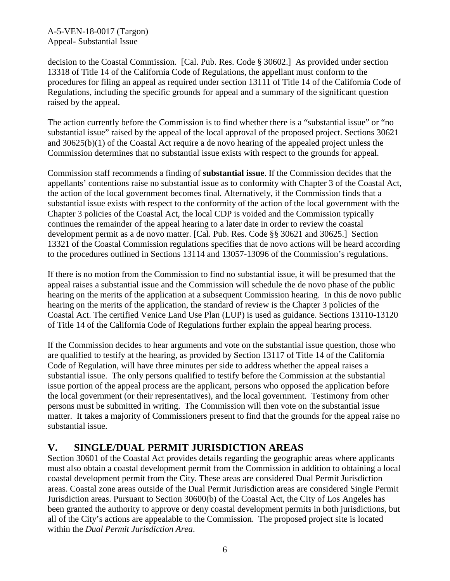decision to the Coastal Commission. [Cal. Pub. Res. Code § 30602.] As provided under section 13318 of Title 14 of the California Code of Regulations, the appellant must conform to the procedures for filing an appeal as required under section 13111 of Title 14 of the California Code of Regulations, including the specific grounds for appeal and a summary of the significant question raised by the appeal.

The action currently before the Commission is to find whether there is a "substantial issue" or "no substantial issue" raised by the appeal of the local approval of the proposed project. Sections 30621 and 30625(b)(1) of the Coastal Act require a de novo hearing of the appealed project unless the Commission determines that no substantial issue exists with respect to the grounds for appeal.

Commission staff recommends a finding of **substantial issue**. If the Commission decides that the appellants' contentions raise no substantial issue as to conformity with Chapter 3 of the Coastal Act, the action of the local government becomes final. Alternatively, if the Commission finds that a substantial issue exists with respect to the conformity of the action of the local government with the Chapter 3 policies of the Coastal Act, the local CDP is voided and the Commission typically continues the remainder of the appeal hearing to a later date in order to review the coastal development permit as a de novo matter. [Cal. Pub. Res. Code §§ 30621 and 30625.] Section 13321 of the Coastal Commission regulations specifies that de novo actions will be heard according to the procedures outlined in Sections 13114 and 13057-13096 of the Commission's regulations.

If there is no motion from the Commission to find no substantial issue, it will be presumed that the appeal raises a substantial issue and the Commission will schedule the de novo phase of the public hearing on the merits of the application at a subsequent Commission hearing. In this de novo public hearing on the merits of the application, the standard of review is the Chapter 3 policies of the Coastal Act. The certified Venice Land Use Plan (LUP) is used as guidance. Sections 13110-13120 of Title 14 of the California Code of Regulations further explain the appeal hearing process.

If the Commission decides to hear arguments and vote on the substantial issue question, those who are qualified to testify at the hearing, as provided by Section 13117 of Title 14 of the California Code of Regulation, will have three minutes per side to address whether the appeal raises a substantial issue. The only persons qualified to testify before the Commission at the substantial issue portion of the appeal process are the applicant, persons who opposed the application before the local government (or their representatives), and the local government. Testimony from other persons must be submitted in writing. The Commission will then vote on the substantial issue matter. It takes a majority of Commissioners present to find that the grounds for the appeal raise no substantial issue.

# <span id="page-5-0"></span>**V. SINGLE/DUAL PERMIT JURISDICTION AREAS**

Section 30601 of the Coastal Act provides details regarding the geographic areas where applicants must also obtain a coastal development permit from the Commission in addition to obtaining a local coastal development permit from the City. These areas are considered Dual Permit Jurisdiction areas. Coastal zone areas outside of the Dual Permit Jurisdiction areas are considered Single Permit Jurisdiction areas. Pursuant to Section 30600(b) of the Coastal Act, the City of Los Angeles has been granted the authority to approve or deny coastal development permits in both jurisdictions, but all of the City's actions are appealable to the Commission. The proposed project site is located within the *Dual Permit Jurisdiction Area*.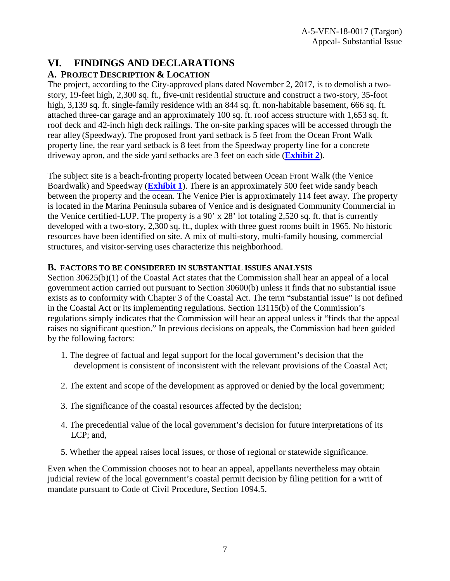## <span id="page-6-0"></span>**VI. FINDINGS AND DECLARATIONS**

### **A. PROJECT DESCRIPTION & LOCATION**

The project, according to the City-approved plans dated November 2, 2017, is to demolish a twostory, 19-feet high, 2,300 sq. ft., five-unit residential structure and construct a two-story, 35-foot high, 3,139 sq. ft. single-family residence with an 844 sq. ft. non-habitable basement, 666 sq. ft. attached three-car garage and an approximately 100 sq. ft. roof access structure with 1,653 sq. ft. roof deck and 42-inch high deck railings. The on-site parking spaces will be accessed through the rear alley (Speedway). The proposed front yard setback is 5 feet from the Ocean Front Walk property line, the rear yard setback is 8 feet from the Speedway property line for a concrete driveway apron, and the side yard setbacks are 3 feet on each side (**[Exhibit 2](https://documents.coastal.ca.gov/reports/2018/6/Th9a/Th9a-6-2018-exhibits.pdf)**).

The subject site is a beach-fronting property located between Ocean Front Walk (the Venice Boardwalk) and Speedway (**[Exhibit 1](https://documents.coastal.ca.gov/reports/2018/6/Th9a/Th9a-6-2018-exhibits.pdf)**). There is an approximately 500 feet wide sandy beach between the property and the ocean. The Venice Pier is approximately 114 feet away. The property is located in the Marina Peninsula subarea of Venice and is designated Community Commercial in the Venice certified-LUP. The property is a 90' x 28' lot totaling 2,520 sq. ft. that is currently developed with a two-story, 2,300 sq. ft., duplex with three guest rooms built in 1965. No historic resources have been identified on site. A mix of multi-story, multi-family housing, commercial structures, and visitor-serving uses characterize this neighborhood.

### <span id="page-6-1"></span>**B. FACTORS TO BE CONSIDERED IN SUBSTANTIAL ISSUES ANALYSIS**

Section 30625(b)(1) of the Coastal Act states that the Commission shall hear an appeal of a local government action carried out pursuant to Section 30600(b) unless it finds that no substantial issue exists as to conformity with Chapter 3 of the Coastal Act. The term "substantial issue" is not defined in the Coastal Act or its implementing regulations. Section 13115(b) of the Commission's regulations simply indicates that the Commission will hear an appeal unless it "finds that the appeal raises no significant question." In previous decisions on appeals, the Commission had been guided by the following factors:

- 1. The degree of factual and legal support for the local government's decision that the development is consistent of inconsistent with the relevant provisions of the Coastal Act;
- 2. The extent and scope of the development as approved or denied by the local government;
- 3. The significance of the coastal resources affected by the decision;
- 4. The precedential value of the local government's decision for future interpretations of its LCP; and,
- 5. Whether the appeal raises local issues, or those of regional or statewide significance.

Even when the Commission chooses not to hear an appeal, appellants nevertheless may obtain judicial review of the local government's coastal permit decision by filing petition for a writ of mandate pursuant to Code of Civil Procedure, Section 1094.5.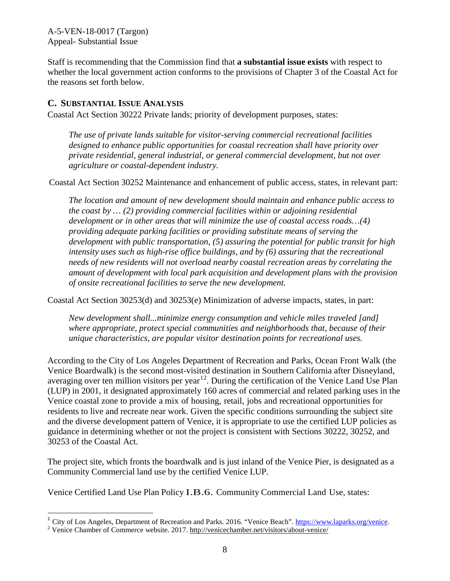Staff is recommending that the Commission find that **a substantial issue exists** with respect to whether the local government action conforms to the provisions of Chapter 3 of the Coastal Act for the reasons set forth below.

### <span id="page-7-0"></span>**C. SUBSTANTIAL ISSUE ANALYSIS**

Coastal Act Section 30222 Private lands; priority of development purposes, states:

*The use of private lands suitable for visitor-serving commercial recreational facilities designed to enhance public opportunities for coastal recreation shall have priority over private residential, general industrial, or general commercial development, but not over agriculture or coastal-dependent industry.* 

Coastal Act Section 30252 Maintenance and enhancement of public access, states, in relevant part:

*The location and amount of new development should maintain and enhance public access to the coast by … (2) providing commercial facilities within or adjoining residential development or in other areas that will minimize the use of coastal access roads…(4) providing adequate parking facilities or providing substitute means of serving the development with public transportation, (5) assuring the potential for public transit for high intensity uses such as high-rise office buildings, and by (6) assuring that the recreational needs of new residents will not overload nearby coastal recreation areas by correlating the amount of development with local park acquisition and development plans with the provision of onsite recreational facilities to serve the new development.* 

Coastal Act Section 30253(d) and 30253(e) Minimization of adverse impacts, states, in part:

*New development shall...minimize energy consumption and vehicle miles traveled [and] where appropriate, protect special communities and neighborhoods that, because of their unique characteristics, are popular visitor destination points for recreational uses.*

According to the City of Los Angeles Department of Recreation and Parks, Ocean Front Walk (the Venice Boardwalk) is the second most-visited destination in Southern California after Disneyland, averaging over ten million visitors per year<sup>[1](#page-7-1)[2](#page-7-2)</sup>. During the certification of the Venice Land Use Plan (LUP) in 2001, it designated approximately 160 acres of commercial and related parking uses in the Venice coastal zone to provide a mix of housing, retail, jobs and recreational opportunities for residents to live and recreate near work. Given the specific conditions surrounding the subject site and the diverse development pattern of Venice, it is appropriate to use the certified LUP policies as guidance in determining whether or not the project is consistent with Sections 30222, 30252, and 30253 of the Coastal Act.

The project site, which fronts the boardwalk and is just inland of the Venice Pier, is designated as a Community Commercial land use by the certified Venice LUP.

Venice Certified Land Use Plan Policy I.B.6. Community Commercial Land Use, states:

 $\overline{\phantom{a}}$ 

<span id="page-7-1"></span><sup>&</sup>lt;sup>1</sup> City of Los Angeles, Department of Recreation and Parks. 2016. "Venice Beach". [https://www.laparks.org/venice.](https://www.laparks.org/venice) <sup>2</sup> Venice Chamber of Commerce website. 2017. http://venicechamber.net/visitors/about-venice/

<span id="page-7-2"></span>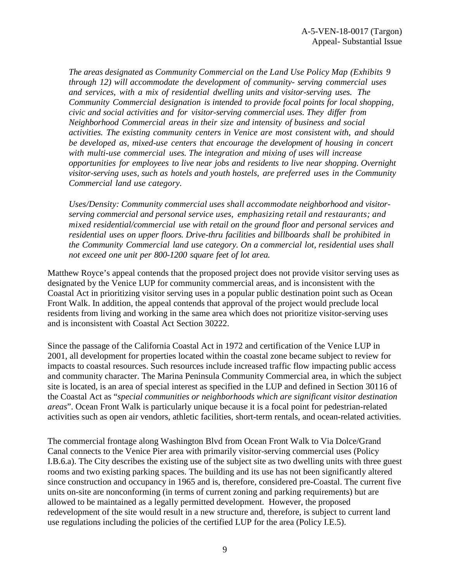*The areas designated as Community Commercial on the Land Use Policy Map (Exhibits 9 through 12) will accommodate the development of community- serving commercial uses and services, with a mix of residential dwelling units and visitor-serving uses. The Community Commercial designation is intended to provide focal points for local shopping, civic and social activities and for visitor-serving commercial uses. They differ from Neighborhood Commercial areas in their size and intensity of business and social activities. The existing community centers in Venice are most consistent with, and should be developed as, mixed-use centers that encourage the development of housing in concert with multi-use commercial uses. The integration and mixing of uses will increase opportunities for employees to live near jobs and residents to live near shopping. Overnight visitor-serving uses, such as hotels and youth hostels, are preferred uses in the Community Commercial land use category.*

*Uses/Density: Community commercial uses shall accommodate neighborhood and visitorserving commercial and personal service uses, emphasizing retail and restaurants; and mixed residential/commercial use with retail on the ground floor and personal services and residential uses on upper floors. Drive-thru facilities and billboards shall be prohibited in the Community Commercial land use category. On a commercial lot, residential uses shall not exceed one unit per 800-1200 square feet of lot area.*

Matthew Royce's appeal contends that the proposed project does not provide visitor serving uses as designated by the Venice LUP for community commercial areas, and is inconsistent with the Coastal Act in prioritizing visitor serving uses in a popular public destination point such as Ocean Front Walk. In addition, the appeal contends that approval of the project would preclude local residents from living and working in the same area which does not prioritize visitor-serving uses and is inconsistent with Coastal Act Section 30222.

Since the passage of the California Coastal Act in 1972 and certification of the Venice LUP in 2001, all development for properties located within the coastal zone became subject to review for impacts to coastal resources. Such resources include increased traffic flow impacting public access and community character. The Marina Peninsula Community Commercial area, in which the subject site is located, is an area of special interest as specified in the LUP and defined in Section 30116 of the Coastal Act as "*special communities or neighborhoods which are significant visitor destination areas*". Ocean Front Walk is particularly unique because it is a focal point for pedestrian-related activities such as open air vendors, athletic facilities, short-term rentals, and ocean-related activities.

The commercial frontage along Washington Blvd from Ocean Front Walk to Via Dolce/Grand Canal connects to the Venice Pier area with primarily visitor-serving commercial uses (Policy I.B.6.a). The City describes the existing use of the subject site as two dwelling units with three guest rooms and two existing parking spaces. The building and its use has not been significantly altered since construction and occupancy in 1965 and is, therefore, considered pre-Coastal. The current five units on-site are nonconforming (in terms of current zoning and parking requirements) but are allowed to be maintained as a legally permitted development. However, the proposed redevelopment of the site would result in a new structure and, therefore, is subject to current land use regulations including the policies of the certified LUP for the area (Policy I.E.5).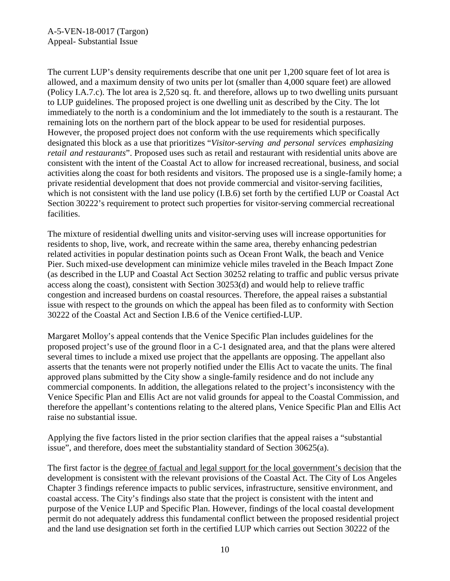The current LUP's density requirements describe that one unit per 1,200 square feet of lot area is allowed, and a maximum density of two units per lot (smaller than 4,000 square feet) are allowed (Policy I.A.7.c). The lot area is 2,520 sq. ft. and therefore, allows up to two dwelling units pursuant to LUP guidelines. The proposed project is one dwelling unit as described by the City. The lot immediately to the north is a condominium and the lot immediately to the south is a restaurant. The remaining lots on the northern part of the block appear to be used for residential purposes. However, the proposed project does not conform with the use requirements which specifically designated this block as a use that prioritizes "*Visitor-serving and personal services emphasizing retail and restaurants*". Proposed uses such as retail and restaurant with residential units above are consistent with the intent of the Coastal Act to allow for increased recreational, business, and social activities along the coast for both residents and visitors. The proposed use is a single-family home; a private residential development that does not provide commercial and visitor-serving facilities, which is not consistent with the land use policy (I.B.6) set forth by the certified LUP or Coastal Act Section 30222's requirement to protect such properties for visitor-serving commercial recreational facilities.

The mixture of residential dwelling units and visitor-serving uses will increase opportunities for residents to shop, live, work, and recreate within the same area, thereby enhancing pedestrian related activities in popular destination points such as Ocean Front Walk, the beach and Venice Pier. Such mixed-use development can minimize vehicle miles traveled in the Beach Impact Zone (as described in the LUP and Coastal Act Section 30252 relating to traffic and public versus private access along the coast), consistent with Section 30253(d) and would help to relieve traffic congestion and increased burdens on coastal resources. Therefore, the appeal raises a substantial issue with respect to the grounds on which the appeal has been filed as to conformity with Section 30222 of the Coastal Act and Section I.B.6 of the Venice certified-LUP.

Margaret Molloy's appeal contends that the Venice Specific Plan includes guidelines for the proposed project's use of the ground floor in a C-1 designated area, and that the plans were altered several times to include a mixed use project that the appellants are opposing. The appellant also asserts that the tenants were not properly notified under the Ellis Act to vacate the units. The final approved plans submitted by the City show a single-family residence and do not include any commercial components. In addition, the allegations related to the project's inconsistency with the Venice Specific Plan and Ellis Act are not valid grounds for appeal to the Coastal Commission, and therefore the appellant's contentions relating to the altered plans, Venice Specific Plan and Ellis Act raise no substantial issue.

Applying the five factors listed in the prior section clarifies that the appeal raises a "substantial issue", and therefore, does meet the substantiality standard of Section 30625(a).

The first factor is the degree of factual and legal support for the local government's decision that the development is consistent with the relevant provisions of the Coastal Act. The City of Los Angeles Chapter 3 findings reference impacts to public services, infrastructure, sensitive environment, and coastal access. The City's findings also state that the project is consistent with the intent and purpose of the Venice LUP and Specific Plan. However, findings of the local coastal development permit do not adequately address this fundamental conflict between the proposed residential project and the land use designation set forth in the certified LUP which carries out Section 30222 of the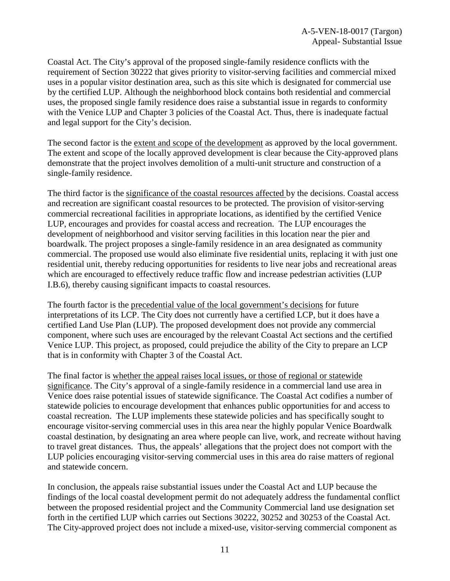Coastal Act. The City's approval of the proposed single-family residence conflicts with the requirement of Section 30222 that gives priority to visitor-serving facilities and commercial mixed uses in a popular visitor destination area, such as this site which is designated for commercial use by the certified LUP. Although the neighborhood block contains both residential and commercial uses, the proposed single family residence does raise a substantial issue in regards to conformity with the Venice LUP and Chapter 3 policies of the Coastal Act. Thus, there is inadequate factual and legal support for the City's decision.

The second factor is the extent and scope of the development as approved by the local government. The extent and scope of the locally approved development is clear because the City-approved plans demonstrate that the project involves demolition of a multi-unit structure and construction of a single-family residence.

The third factor is the significance of the coastal resources affected by the decisions. Coastal access and recreation are significant coastal resources to be protected. The provision of visitor-serving commercial recreational facilities in appropriate locations, as identified by the certified Venice LUP, encourages and provides for coastal access and recreation. The LUP encourages the development of neighborhood and visitor serving facilities in this location near the pier and boardwalk. The project proposes a single-family residence in an area designated as community commercial. The proposed use would also eliminate five residential units, replacing it with just one residential unit, thereby reducing opportunities for residents to live near jobs and recreational areas which are encouraged to effectively reduce traffic flow and increase pedestrian activities (LUP I.B.6), thereby causing significant impacts to coastal resources.

The fourth factor is the precedential value of the local government's decisions for future interpretations of its LCP. The City does not currently have a certified LCP, but it does have a certified Land Use Plan (LUP). The proposed development does not provide any commercial component, where such uses are encouraged by the relevant Coastal Act sections and the certified Venice LUP. This project, as proposed, could prejudice the ability of the City to prepare an LCP that is in conformity with Chapter 3 of the Coastal Act.

The final factor is whether the appeal raises local issues, or those of regional or statewide significance. The City's approval of a single-family residence in a commercial land use area in Venice does raise potential issues of statewide significance. The Coastal Act codifies a number of statewide policies to encourage development that enhances public opportunities for and access to coastal recreation. The LUP implements these statewide policies and has specifically sought to encourage visitor-serving commercial uses in this area near the highly popular Venice Boardwalk coastal destination, by designating an area where people can live, work, and recreate without having to travel great distances. Thus, the appeals' allegations that the project does not comport with the LUP policies encouraging visitor-serving commercial uses in this area do raise matters of regional and statewide concern.

In conclusion, the appeals raise substantial issues under the Coastal Act and LUP because the findings of the local coastal development permit do not adequately address the fundamental conflict between the proposed residential project and the Community Commercial land use designation set forth in the certified LUP which carries out Sections 30222, 30252 and 30253 of the Coastal Act. The City-approved project does not include a mixed-use, visitor-serving commercial component as